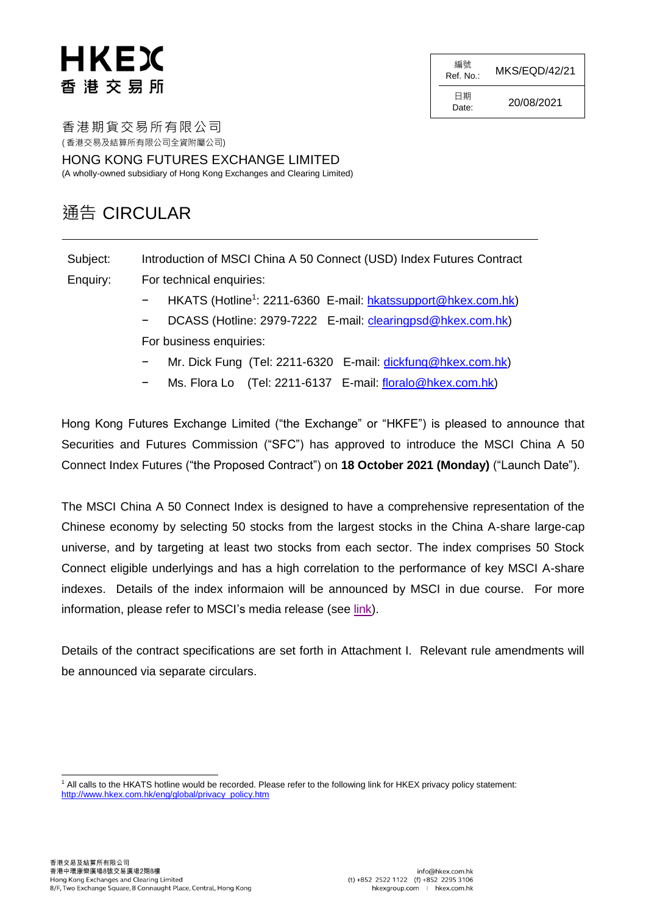編號  $Ref. No.:$  MKS/EQD/42/21

 $D_{\text{ate}}$ : 20/08/2021

日期

香港期貨交易所有限公司 ( 香港交易及結算所有限公司全資附屬公司)

HONG KONG FUTURES EXCHANGE LIMITED (A wholly-owned subsidiary of Hong Kong Exchanges and Clearing Limited)

# 通告 CIRCULAR

Subject: Introduction of MSCI China A 50 Connect (USD) Index Futures Contract

Enquiry: For technical enquiries:

- − HKATS (Hotline<sup>1</sup>: 2211-6360 E-mail: [hkatssupport@hkex.com.hk\)](mailto:hkatssupport@hkex.com.hk)
- DCASS (Hotline: 2979-7222 E-mail: [clearingpsd@hkex.com.hk\)](mailto:clearingpsd@hkex.com.hk)
- For business enquiries:
- − Mr. Dick Fung (Tel: 2211-6320 E-mail: [dickfung@hkex.com.hk\)](mailto:dickfung@hkex.com.hk)
- Ms. Flora Lo (Tel: 2211-6137 E-mail: [floralo@hkex.com.hk\)](mailto:floralo@hkex.com.hk)

Hong Kong Futures Exchange Limited ("the Exchange" or "HKFE") is pleased to announce that Securities and Futures Commission ("SFC") has approved to introduce the MSCI China A 50 Connect Index Futures ("the Proposed Contract") on **18 October 2021 (Monday)** ("Launch Date").

The MSCI China A 50 Connect Index is designed to have a comprehensive representation of the Chinese economy by selecting 50 stocks from the largest stocks in the China A-share large-cap universe, and by targeting at least two stocks from each sector. The index comprises 50 Stock Connect eligible underlyings and has a high correlation to the performance of key MSCI A-share indexes. Details of the index informaion will be announced by MSCI in due course. For more information, please refer to MSCI's media release (see [link\)](https://www.msci.com/documents/10199/c11fb615-a949-50e9-9dbb-d4b6cf9648a1).

Details of the contract specifications are set forth in Attachment I. Relevant rule amendments will be announced via separate circulars.

l <sup>1</sup> All calls to the HKATS hotline would be recorded. Please refer to the following link for HKEX privacy policy statement: [http://www.hkex.com.hk/eng/global/privacy\\_policy.htm](http://www.hkex.com.hk/eng/global/privacy_policy.htm)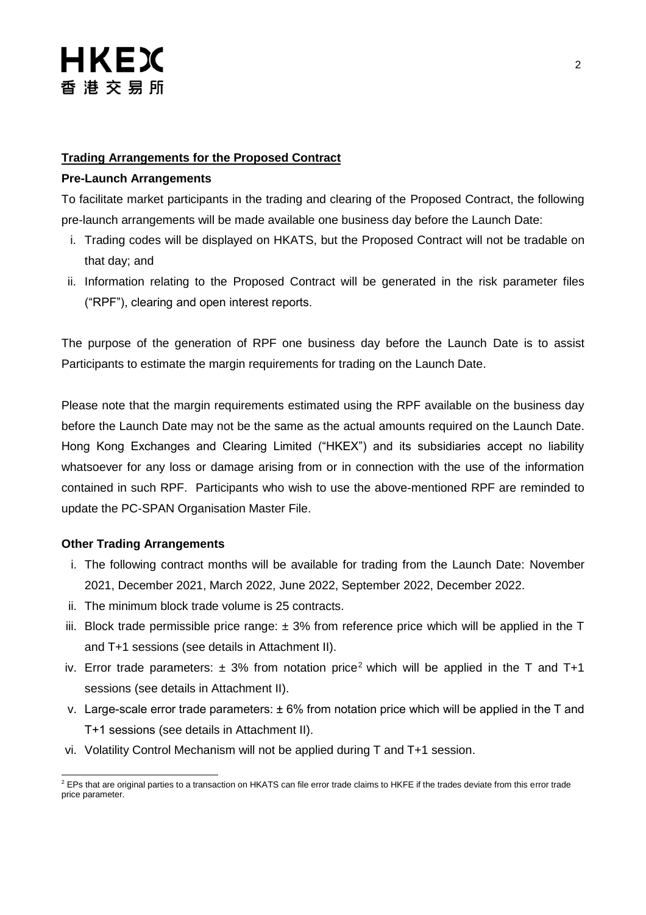### **Trading Arrangements for the Proposed Contract**

#### **Pre-Launch Arrangements**

To facilitate market participants in the trading and clearing of the Proposed Contract, the following pre-launch arrangements will be made available one business day before the Launch Date:

- i. Trading codes will be displayed on HKATS, but the Proposed Contract will not be tradable on that day; and
- ii. Information relating to the Proposed Contract will be generated in the risk parameter files ("RPF"), clearing and open interest reports.

The purpose of the generation of RPF one business day before the Launch Date is to assist Participants to estimate the margin requirements for trading on the Launch Date.

Please note that the margin requirements estimated using the RPF available on the business day before the Launch Date may not be the same as the actual amounts required on the Launch Date. Hong Kong Exchanges and Clearing Limited ("HKEX") and its subsidiaries accept no liability whatsoever for any loss or damage arising from or in connection with the use of the information contained in such RPF. Participants who wish to use the above-mentioned RPF are reminded to update the PC-SPAN Organisation Master File.

#### **Other Trading Arrangements**

- i. The following contract months will be available for trading from the Launch Date: November 2021, December 2021, March 2022, June 2022, September 2022, December 2022.
- ii. The minimum block trade volume is 25 contracts.
- iii. Block trade permissible price range:  $\pm$  3% from reference price which will be applied in the T and T+1 sessions (see details in Attachment II).
- iv. Error trade parameters:  $\pm$  3% from notation price<sup>2</sup> which will be applied in the T and T+1 sessions (see details in Attachment II).
- v. Large-scale error trade parameters: ± 6% from notation price which will be applied in the T and T+1 sessions (see details in Attachment II).
- vi. Volatility Control Mechanism will not be applied during T and T+1 session.

l  $2$  EPs that are original parties to a transaction on HKATS can file error trade claims to HKFE if the trades deviate from this error trade price parameter.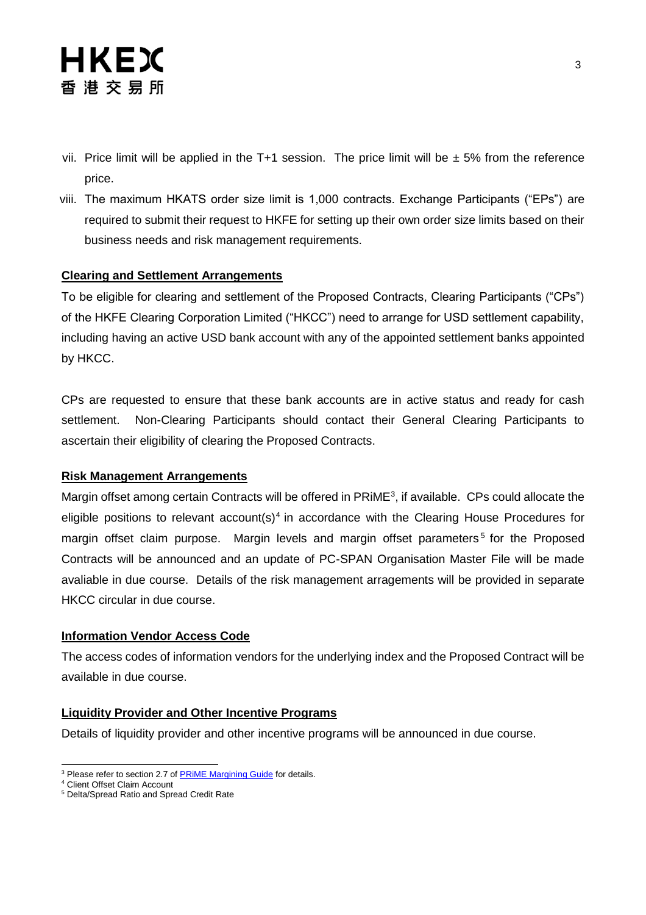- vii. Price limit will be applied in the T+1 session. The price limit will be  $\pm$  5% from the reference price.
- viii. The maximum HKATS order size limit is 1,000 contracts. Exchange Participants ("EPs") are required to submit their request to HKFE for setting up their own order size limits based on their business needs and risk management requirements.

### **Clearing and Settlement Arrangements**

To be eligible for clearing and settlement of the Proposed Contracts, Clearing Participants ("CPs") of the HKFE Clearing Corporation Limited ("HKCC") need to arrange for USD settlement capability, including having an active USD bank account with any of the appointed settlement banks appointed by HKCC.

CPs are requested to ensure that these bank accounts are in active status and ready for cash settlement. Non-Clearing Participants should contact their General Clearing Participants to ascertain their eligibility of clearing the Proposed Contracts.

#### **Risk Management Arrangements**

Margin offset among certain Contracts will be offered in PRiME<sup>3</sup>, if available. CPs could allocate the eligible positions to relevant account(s)<sup>4</sup> in accordance with the Clearing House Procedures for margin offset claim purpose. Margin levels and margin offset parameters<sup>5</sup> for the Proposed Contracts will be announced and an update of PC-SPAN Organisation Master File will be made avaliable in due course. Details of the risk management arragements will be provided in separate HKCC circular in due course.

#### **Information Vendor Access Code**

The access codes of information vendors for the underlying index and the Proposed Contract will be available in due course.

### **Liquidity Provider and Other Incentive Programs**

Details of liquidity provider and other incentive programs will be announced in due course.

l <sup>3</sup> Please refer to section 2.7 of **PRIME Margining Guide** for details.

<sup>4</sup> Client Offset Claim Account

<sup>5</sup> Delta/Spread Ratio and Spread Credit Rate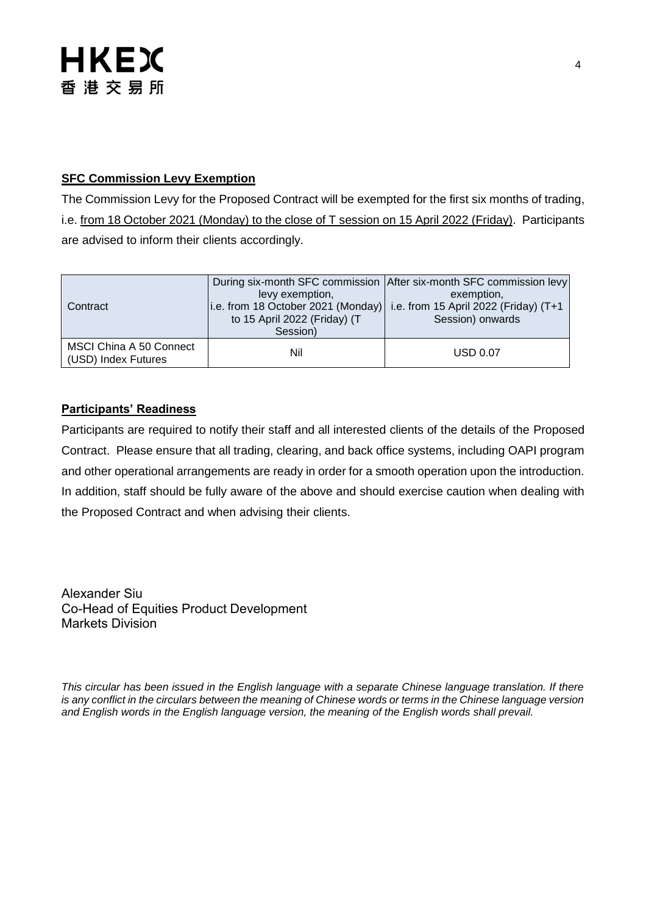### **SFC Commission Levy Exemption**

The Commission Levy for the Proposed Contract will be exempted for the first six months of trading, i.e. from 18 October 2021 (Monday) to the close of T session on 15 April 2022 (Friday). Participants are advised to inform their clients accordingly.

| Contract                                              | levy exemption,<br>$\vert$ i.e. from 18 October 2021 (Monday) $\vert$<br>to 15 April 2022 (Friday) (T<br>Session) | During six-month SFC commission After six-month SFC commission levy<br>exemption,<br>i.e. from 15 April 2022 (Friday) (T+1<br>Session) onwards |
|-------------------------------------------------------|-------------------------------------------------------------------------------------------------------------------|------------------------------------------------------------------------------------------------------------------------------------------------|
| <b>MSCI China A 50 Connect</b><br>(USD) Index Futures | Nil                                                                                                               | <b>USD 0.07</b>                                                                                                                                |

# **Participants' Readiness**

Participants are required to notify their staff and all interested clients of the details of the Proposed Contract. Please ensure that all trading, clearing, and back office systems, including OAPI program and other operational arrangements are ready in order for a smooth operation upon the introduction. In addition, staff should be fully aware of the above and should exercise caution when dealing with the Proposed Contract and when advising their clients.

Alexander Siu Co-Head of Equities Product Development Markets Division

*This circular has been issued in the English language with a separate Chinese language translation. If there is any conflict in the circulars between the meaning of Chinese words or terms in the Chinese language version and English words in the English language version, the meaning of the English words shall prevail.*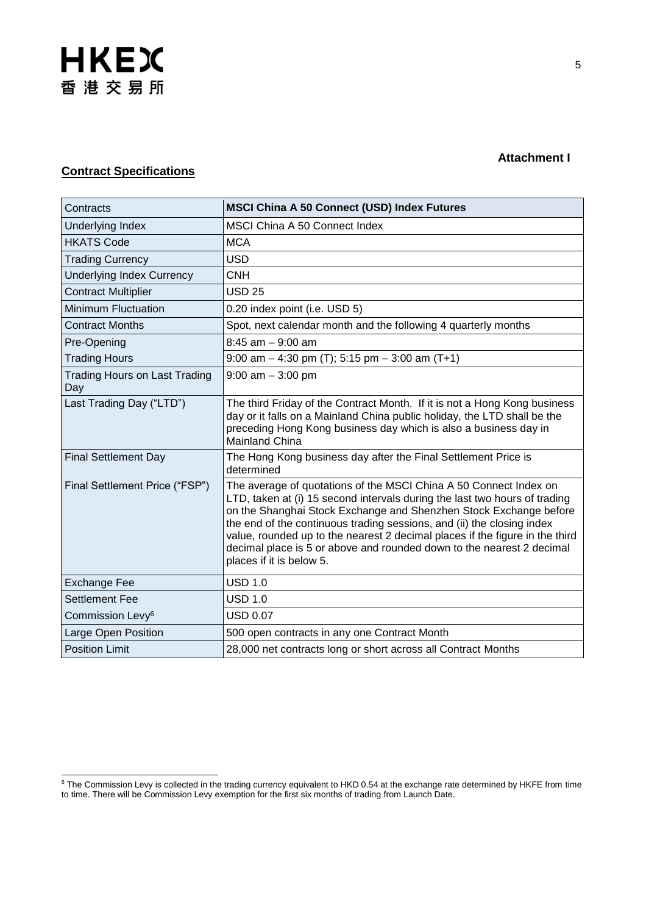# **Contract Specifications**

l

| Contracts                                   | <b>MSCI China A 50 Connect (USD) Index Futures</b>                                                                                                                                                                                                                                                                                                                                                                                                                                  |
|---------------------------------------------|-------------------------------------------------------------------------------------------------------------------------------------------------------------------------------------------------------------------------------------------------------------------------------------------------------------------------------------------------------------------------------------------------------------------------------------------------------------------------------------|
| Underlying Index                            | <b>MSCI China A 50 Connect Index</b>                                                                                                                                                                                                                                                                                                                                                                                                                                                |
| <b>HKATS Code</b>                           | <b>MCA</b>                                                                                                                                                                                                                                                                                                                                                                                                                                                                          |
| <b>Trading Currency</b>                     | <b>USD</b>                                                                                                                                                                                                                                                                                                                                                                                                                                                                          |
| <b>Underlying Index Currency</b>            | <b>CNH</b>                                                                                                                                                                                                                                                                                                                                                                                                                                                                          |
| <b>Contract Multiplier</b>                  | <b>USD 25</b>                                                                                                                                                                                                                                                                                                                                                                                                                                                                       |
| <b>Minimum Fluctuation</b>                  | 0.20 index point (i.e. USD 5)                                                                                                                                                                                                                                                                                                                                                                                                                                                       |
| <b>Contract Months</b>                      | Spot, next calendar month and the following 4 quarterly months                                                                                                                                                                                                                                                                                                                                                                                                                      |
| Pre-Opening                                 | $8:45$ am $-9:00$ am                                                                                                                                                                                                                                                                                                                                                                                                                                                                |
| <b>Trading Hours</b>                        | 9:00 am $-$ 4:30 pm (T); 5:15 pm $-$ 3:00 am (T+1)                                                                                                                                                                                                                                                                                                                                                                                                                                  |
| <b>Trading Hours on Last Trading</b><br>Day | $9:00$ am $-3:00$ pm                                                                                                                                                                                                                                                                                                                                                                                                                                                                |
| Last Trading Day ("LTD")                    | The third Friday of the Contract Month. If it is not a Hong Kong business<br>day or it falls on a Mainland China public holiday, the LTD shall be the<br>preceding Hong Kong business day which is also a business day in<br>Mainland China                                                                                                                                                                                                                                         |
| <b>Final Settlement Day</b>                 | The Hong Kong business day after the Final Settlement Price is<br>determined                                                                                                                                                                                                                                                                                                                                                                                                        |
| Final Settlement Price ("FSP")              | The average of quotations of the MSCI China A 50 Connect Index on<br>LTD, taken at (i) 15 second intervals during the last two hours of trading<br>on the Shanghai Stock Exchange and Shenzhen Stock Exchange before<br>the end of the continuous trading sessions, and (ii) the closing index<br>value, rounded up to the nearest 2 decimal places if the figure in the third<br>decimal place is 5 or above and rounded down to the nearest 2 decimal<br>places if it is below 5. |
| <b>Exchange Fee</b>                         | <b>USD 1.0</b>                                                                                                                                                                                                                                                                                                                                                                                                                                                                      |
| <b>Settlement Fee</b>                       | <b>USD 1.0</b>                                                                                                                                                                                                                                                                                                                                                                                                                                                                      |
| Commission Levy <sup>6</sup>                | <b>USD 0.07</b>                                                                                                                                                                                                                                                                                                                                                                                                                                                                     |
| Large Open Position                         | 500 open contracts in any one Contract Month                                                                                                                                                                                                                                                                                                                                                                                                                                        |
| <b>Position Limit</b>                       | 28,000 net contracts long or short across all Contract Months                                                                                                                                                                                                                                                                                                                                                                                                                       |

**Attachment I** 

<sup>&</sup>lt;sup>6</sup> The Commission Levy is collected in the trading currency equivalent to HKD 0.54 at the exchange rate determined by HKFE from time to time. There will be Commission Levy exemption for the first six months of trading from Launch Date.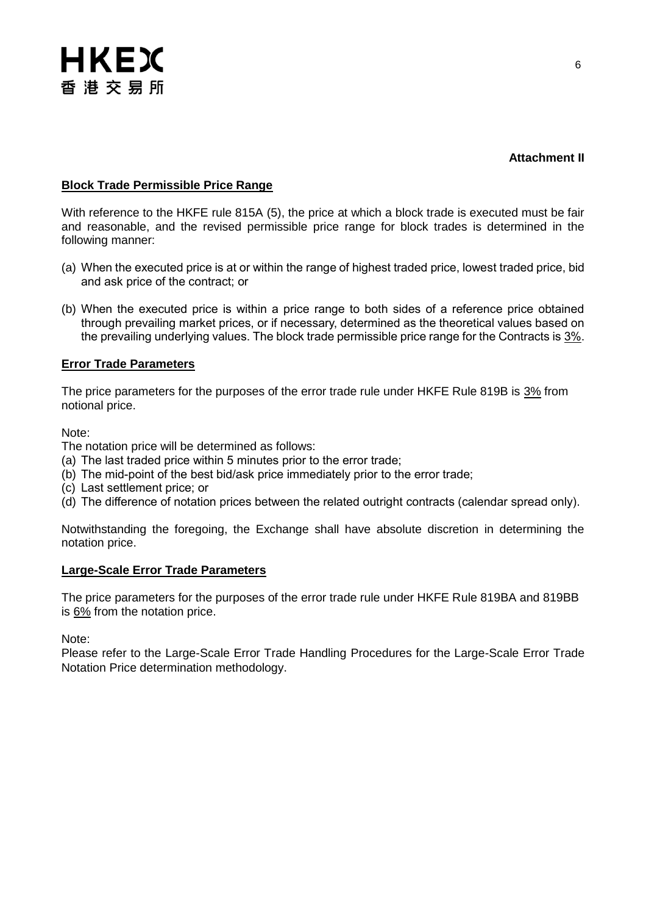### **Attachment II**

### **Block Trade Permissible Price Range**

With reference to the HKFE rule 815A (5), the price at which a block trade is executed must be fair and reasonable, and the revised permissible price range for block trades is determined in the following manner:

- (a) When the executed price is at or within the range of highest traded price, lowest traded price, bid and ask price of the contract; or
- (b) When the executed price is within a price range to both sides of a reference price obtained through prevailing market prices, or if necessary, determined as the theoretical values based on the prevailing underlying values. The block trade permissible price range for the Contracts is 3%.

#### **Error Trade Parameters**

The price parameters for the purposes of the error trade rule under HKFE Rule 819B is 3% from notional price.

Note:

The notation price will be determined as follows:

- (a) The last traded price within 5 minutes prior to the error trade;
- (b) The mid-point of the best bid/ask price immediately prior to the error trade;
- (c) Last settlement price; or
- (d) The difference of notation prices between the related outright contracts (calendar spread only).

Notwithstanding the foregoing, the Exchange shall have absolute discretion in determining the notation price.

#### **Large-Scale Error Trade Parameters**

The price parameters for the purposes of the error trade rule under HKFE Rule 819BA and 819BB is 6% from the notation price.

Note:

Please refer to the [Large-Scale Error Trade Handling Procedures](https://www.hkex.com.hk/Services/Trading/Derivatives/Overview/Trading-Mechanism/Large-Scale-Error-Trade-Procedures?sc_lang=en) for the Large-Scale Error Trade Notation Price determination methodology.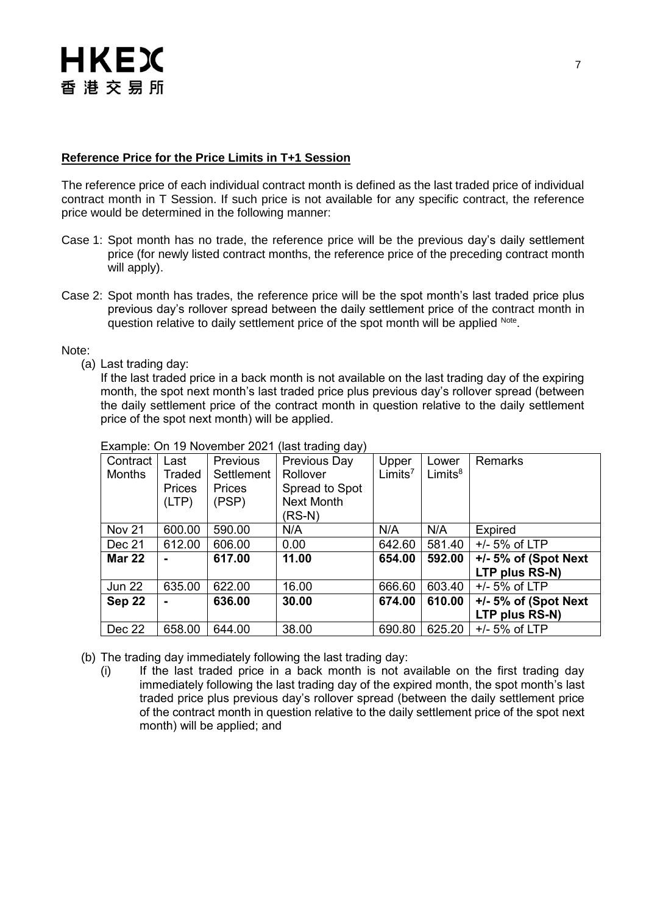#### **Reference Price for the Price Limits in T+1 Session**

The reference price of each individual contract month is defined as the last traded price of individual contract month in T Session. If such price is not available for any specific contract, the reference price would be determined in the following manner:

- Case 1: Spot month has no trade, the reference price will be the previous day's daily settlement price (for newly listed contract months, the reference price of the preceding contract month will apply).
- Case 2: Spot month has trades, the reference price will be the spot month's last traded price plus previous day's rollover spread between the daily settlement price of the contract month in question relative to daily settlement price of the spot month will be applied <sup>Note</sup>.

Note:

(a) Last trading day:

If the last traded price in a back month is not available on the last trading day of the expiring month, the spot next month's last traded price plus previous day's rollover spread (between the daily settlement price of the contract month in question relative to the daily settlement price of the spot next month) will be applied.

| Contract      | Last          | <b>Previous</b> | <b>Previous Day</b> | Upper               | Lower      | <b>Remarks</b>          |
|---------------|---------------|-----------------|---------------------|---------------------|------------|-------------------------|
| <b>Months</b> | Traded        | Settlement      | Rollover            | Limits <sup>7</sup> | $Limits^8$ |                         |
|               | <b>Prices</b> | Prices          | Spread to Spot      |                     |            |                         |
|               | (LTP)         | (PSP)           | <b>Next Month</b>   |                     |            |                         |
|               |               |                 | (RS-N)              |                     |            |                         |
| <b>Nov 21</b> | 600.00        | 590.00          | N/A                 | N/A                 | N/A        | <b>Expired</b>          |
| Dec 21        | 612.00        | 606.00          | 0.00                | 642.60              | 581.40     | $+/- 5%$ of LTP         |
| <b>Mar 22</b> |               | 617.00          | 11.00               | 654.00              | 592.00     | $+/- 5%$ of (Spot Next) |
|               |               |                 |                     |                     |            | LTP plus RS-N)          |
| <b>Jun 22</b> | 635.00        | 622.00          | 16.00               | 666.60              | 603.40     | $+/- 5%$ of LTP         |
| Sep 22        |               | 636.00          | 30.00               | 674.00              | 610.00     | $+/- 5%$ of (Spot Next) |
|               |               |                 |                     |                     |            | LTP plus RS-N)          |
| Dec 22        | 658.00        | 644.00          | 38.00               | 690.80              | 625.20     | $+/- 5%$ of LTP         |

Example: On 19 November 2021 (last trading day)

- (b) The trading day immediately following the last trading day:
	- (i) If the last traded price in a back month is not available on the first trading day immediately following the last trading day of the expired month, the spot month's last traded price plus previous day's rollover spread (between the daily settlement price of the contract month in question relative to the daily settlement price of the spot next month) will be applied; and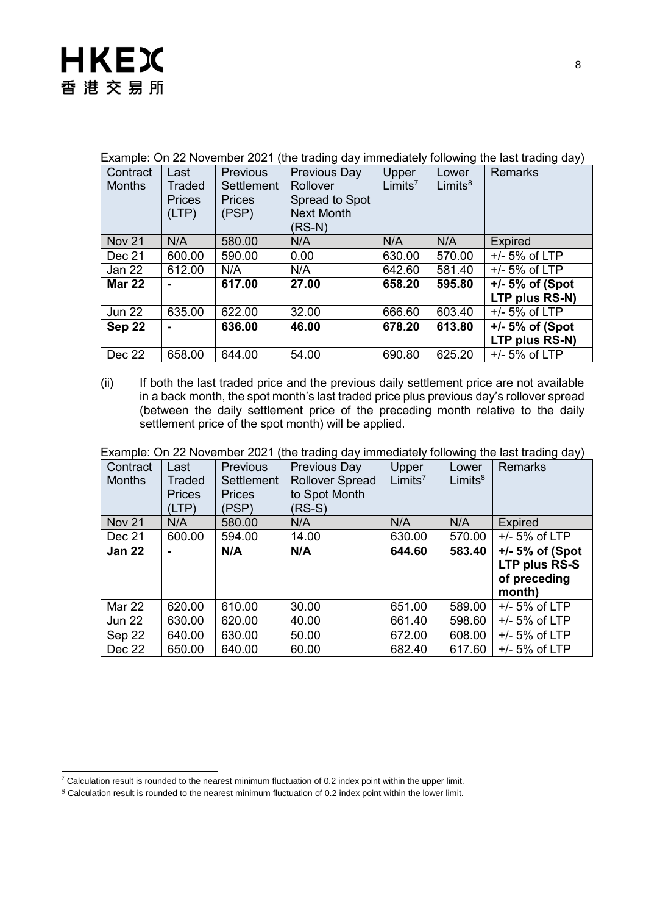| Example: On ZZ Novemper ZUZ I<br>the trading day immediately following the last trading day) |               |                   |                     |                     |            |                   |
|----------------------------------------------------------------------------------------------|---------------|-------------------|---------------------|---------------------|------------|-------------------|
| Contract                                                                                     | Last          | <b>Previous</b>   | <b>Previous Day</b> | Upper               | Lower      | <b>Remarks</b>    |
| <b>Months</b>                                                                                | Traded        | <b>Settlement</b> | Rollover            | Limits <sup>7</sup> | $Limits^8$ |                   |
|                                                                                              | <b>Prices</b> | <b>Prices</b>     | Spread to Spot      |                     |            |                   |
|                                                                                              | (LTP)         | (PSP)             | <b>Next Month</b>   |                     |            |                   |
|                                                                                              |               |                   | $(RS-N)$            |                     |            |                   |
| <b>Nov 21</b>                                                                                | N/A           | 580.00            | N/A                 | N/A                 | N/A        | <b>Expired</b>    |
| Dec 21                                                                                       | 600.00        | 590.00            | 0.00                | 630.00              | 570.00     | $+/- 5%$ of LTP   |
| Jan 22                                                                                       | 612.00        | N/A               | N/A                 | 642.60              | 581.40     | $+/- 5%$ of LTP   |
| <b>Mar 22</b>                                                                                |               | 617.00            | 27.00               | 658.20              | 595.80     | $+/- 5%$ of (Spot |
|                                                                                              |               |                   |                     |                     |            | LTP plus RS-N)    |
| <b>Jun 22</b>                                                                                | 635.00        | 622.00            | 32.00               | 666.60              | 603.40     | $+/- 5%$ of LTP   |
| Sep 22                                                                                       |               | 636.00            | 46.00               | 678.20              | 613.80     | $+/-5%$ of (Spot  |
|                                                                                              |               |                   |                     |                     |            | LTP plus RS-N)    |
| Dec 22                                                                                       | 658.00        | 644.00            | 54.00               | 690.80              | 625.20     | $+/- 5%$ of LTP   |

Example: On 22 November 2021 (the trading day immediately following the last trading day)

(ii) If both the last traded price and the previous daily settlement price are not available in a back month, the spot month's last traded price plus previous day's rollover spread (between the daily settlement price of the preceding month relative to the daily settlement price of the spot month) will be applied.

Example: On 22 November 2021 (the trading day immediately following the last trading day)

| Contract<br><b>Months</b> | Last<br>Traded<br><b>Prices</b><br>(LTP) | <b>Previous</b><br>Settlement<br><b>Prices</b><br>(PSP) | <b>Previous Day</b><br><b>Rollover Spread</b><br>to Spot Month<br>$(RS-S)$ | Upper<br>Limits <sup>7</sup> | Lower<br>$Limits^8$ | <b>Remarks</b>                                              |
|---------------------------|------------------------------------------|---------------------------------------------------------|----------------------------------------------------------------------------|------------------------------|---------------------|-------------------------------------------------------------|
| <b>Nov 21</b>             | N/A                                      | 580.00                                                  | N/A                                                                        | N/A                          | N/A                 | <b>Expired</b>                                              |
| Dec 21                    | 600.00                                   | 594.00                                                  | 14.00                                                                      | 630.00                       | 570.00              | $+/- 5%$ of LTP                                             |
| <b>Jan 22</b>             | $\blacksquare$                           | N/A                                                     | N/A                                                                        | 644.60                       | 583.40              | $+/-5%$ of (Spot<br>LTP plus RS-S<br>of preceding<br>month) |
| Mar 22                    | 620.00                                   | 610.00                                                  | 30.00                                                                      | 651.00                       | 589.00              | $+/- 5%$ of LTP                                             |
| <b>Jun 22</b>             | 630.00                                   | 620.00                                                  | 40.00                                                                      | 661.40                       | 598.60              | $+/- 5%$ of LTP                                             |
| Sep 22                    | 640.00                                   | 630.00                                                  | 50.00                                                                      | 672.00                       | 608.00              | $+/- 5%$ of LTP                                             |
| Dec 22                    | 650.00                                   | 640.00                                                  | 60.00                                                                      | 682.40                       | 617.60              | $+/- 5%$ of LTP                                             |

l  $7$  Calculation result is rounded to the nearest minimum fluctuation of 0.2 index point within the upper limit.

<sup>8</sup> Calculation result is rounded to the nearest minimum fluctuation of 0.2 index point within the lower limit.